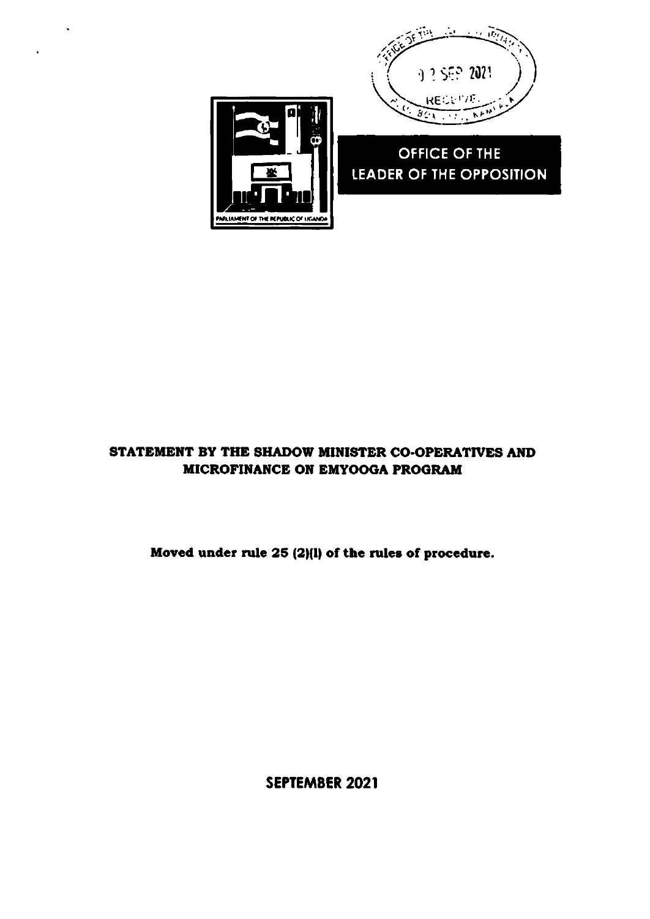

## OFFICE OF THE LEADER OF THE OPPOSITION



.<br>RUAMENT OF THE REPUBLIC OF LIGANOV

Moved under rule 25 (2)(1) of the rules of procedure.

SEPTEMBER 2021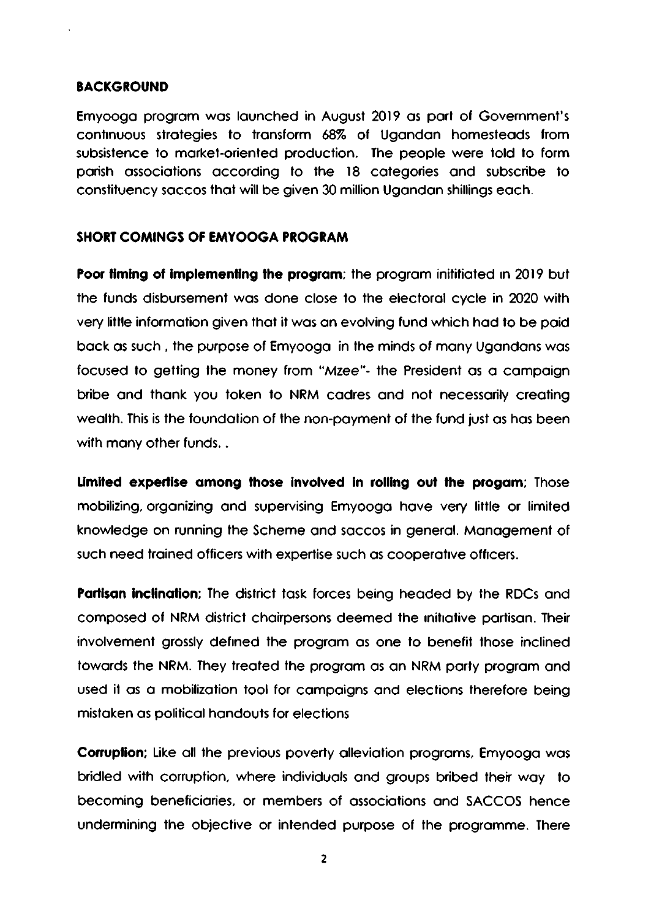## **BACKGROUND**

Emyooga program was launched in August 2019 as part of Government's continuous strategies to transform 68% of Ugandan homesteads from subsistence to market-oriented production. The people were told to form parish associations according to the 18 categories and subscribe to constituency saccos that will be given 30 million Ugandan shillings each.

## **SHORT COMINGS OF EMYOOGA PROGRAM**

Poor fiming of implementing the program; the program inititiated in 2019 but the funds disbursement was done close to the electoral cycle in 2020 with very little information given that it was an evolving fund which had to be paid back as such, the purpose of Emyooga in the minds of many Ugandans was focused to getting the money from "Mzee"- the President as a campaign bribe and thank you token to NRM cadres and not necessarily creating wealth. This is the foundation of the non-payment of the fund just as has been with many other funds...

Limited expertise among those involved in rolling out the progam; Those mobilizing, organizing and supervising Emyooga have very little or limited knowledge on running the Scheme and saccos in general. Management of such need trained officers with expertise such as cooperative officers.

**Partisan inclination:** The district task forces being headed by the RDCs and composed of NRM district chairpersons deemed the initiative partisan. Their involvement grossly defined the program as one to benefit those inclined towards the NRM. They treated the program as an NRM party program and used it as a mobilization tool for campaigns and elections therefore being mistaken as political handouts for elections

**Corruption:** Like all the previous poverty alleviation programs, Emyooga was bridled with corruption, where individuals and groups bribed their way to becoming beneficiaries, or members of associations and SACCOS hence undermining the objective or intended purpose of the programme. There

 $\overline{2}$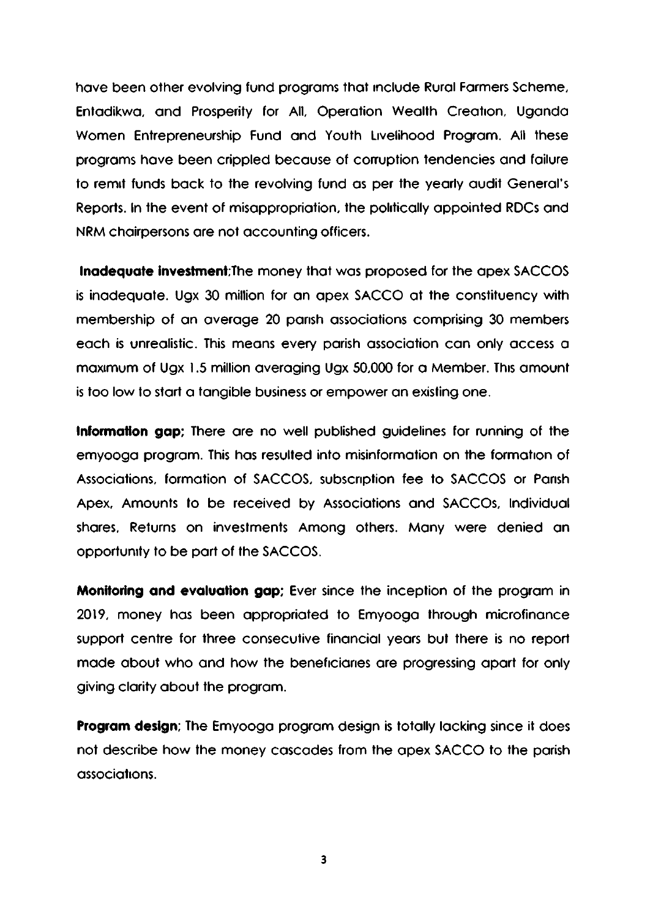have been other evolving fund programs that include Rural Farmers Scheme, Entadikwa, and Prosperity for All, Operation Wealth Creation, Uganda Women Entrepreneurship Fund and Youth Livelihood Program. All these programs have been crippled because of corruption tendencies and failure to remit funds back to the revolving fund as per the yearly audit General's Reports. In the event of misappropriation, the politically appointed RDCs and NRM chairpersons are not accounting officers.

**Inadequate investment**; The money that was proposed for the apex SACCOS is inadequate. Ugx 30 million for an apex SACCO at the constituency with membership of an average 20 parish associations comprising 30 members each is unrealistic. This means every parish association can only access a maximum of Ugx 1.5 million averaging Ugx 50,000 for a Member. This amount is too low to start a tangible business or empower an existing one.

Information gap; There are no well published guidelines for running of the emyooga program. This has resulted into misinformation on the formation of Associations, formation of SACCOS, subscription fee to SACCOS or Parish Apex, Amounts to be received by Associations and SACCOs, Individual shares, Returns on investments Among others. Many were denied an opportunity to be part of the SACCOS.

Monitoring and evaluation gap; Ever since the inception of the program in 2019, money has been appropriated to Emyooga through microfinance support centre for three consecutive financial years but there is no report made about who and how the beneficiaries are progressing apart for only giving clarity about the program.

Program design; The Emyooga program design is totally lacking since it does not describe how the money cascades from the apex SACCO to the parish associations.

3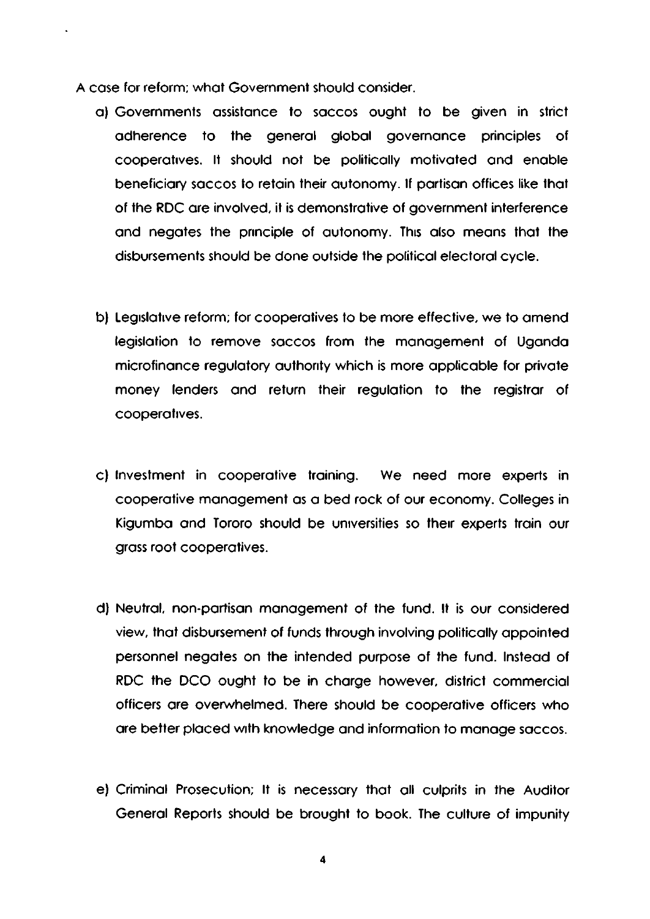A cose for reform; whot Government should consider.

- o) Governmenls ossistonce fo soccos ought to be given in slrict odherence to the general global governance principles of cooperatives. It should not be politically motivated and enable beneficiary saccos to retain their autonomy. If partisan offices like that of the RDC are involved, it is demonstrative of government interference and negates the principle of autonomy. This also means that the disbursements should be done oulside the politicol eleclorol cycle.
- b) Legislative reform; for cooperatives to be more effective, we to amend legislation to remove saccos from the management of Uganda microfinance regulatory authority which is more applicable for private money lenders and return their regulation to the registrar of COoperoltves.
- c) Investment in cooperative training. We need more experts in cooperative management as a bed rock of our economy. Colleges in Kigumba and Tororo should be universities so their experts train our gross rool cooperotives.
- d) Neutral, non-partisan management of the fund. It is our considered view, that disbursement of funds through involving politically appointed personnel negates on the intended purpose of the fund. Instead of RDC the DCO ought to be in charge however, district commercial officers are overwhelmed. There should be cooperative officers who are better placed with knowledge and information to manage saccos.
- e) Criminal Prosecution; It is necessary that all culprits in the Auditor General Reports should be brought to book. The culture of impunity